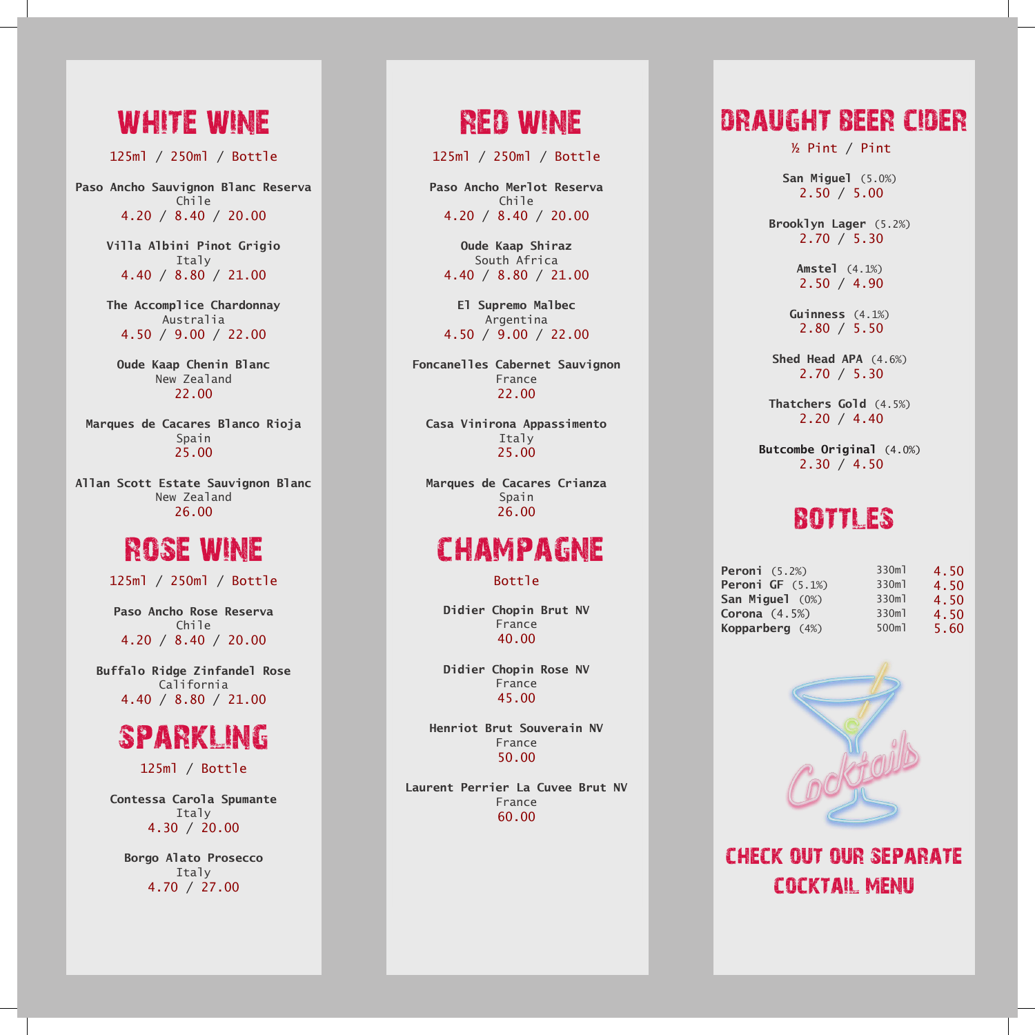## white wine

125ml / 250ml / Bottle 125ml / 250ml / Bottle 125ml / 250ml / Bottle

**Paso Ancho Sauvignon Blanc Reserva Paso Ancho Sauvignon Blanc Reserva Paso Ancho Sauvignon Blanc Reserva** Chile 4.20 / 8.40 / 20.00 4.20 / 8.40 / 20.00 4.20 / 8.40 / 20.00

> **Villa Albini Pinot Grigio Villa Albini Pinot Grigio Villa Albini Pinot Grigio** Italy 4.40 / 8.80 / 21.00 4.40 / 8.80 / 21.00 4.40 / 8.80 / 21.00

> **The Accomplice Chardonnay The Accomplice Chardonnay The Accomplice Chardonnay** Australia Australia 4.50 / 9.00 / 22.00 4.50 / 9.00 / 22.00 4.50 / 9.00 / 22.00 Australia

**Oude Kaap Chenin Blanc Oude Kaap Chenin Blanc Oude Kaap Chenin Blanc** New Zealand New Zealand New Zealand 22.00

**Marques de Cacares Blanco Rioja Marques de Cacares Blanco Rioja Marques de Cacares Blanco Rioja** Spain 25.00

**Allan Scott Estate Sauvignon Blanc Allan Scott Estate Sauvignon Blanc Allan Scott Estate Sauvignon Blanc** New Zealand New Zealand New Zealand 26.00

#### rose wine

125ml / 250ml / Bottle 125ml / 250ml / Bottle 125ml / 250ml / Bottle

**Paso Ancho Rose Reserva Paso Ancho Rose Reserva Paso Ancho Rose Reserva** Chile 4.20 / 8.40 / 20.00 4.20 / 8.40 / 20.00 4.20 / 8.40 / 20.00

**Buffalo Ridge Zinfandel Rose Buffalo Ridge Zinfandel Rose Buffalo Ridge Zinfandel Rose** California California California 4.40 / 8.80 / 21.00 4.40 / 8.80 / 21.00 4.40 / 8.80 / 21.00



125ml / Bottle 125ml / Bottle 125ml / Bottle

**Contessa Carola Spumante Contessa Carola Spumante Contessa Carola Spumante** Italy 4.30 / 20.00 4.30 / 20.00 4.30 / 20.00

**Borgo Alato Prosecco Borgo Alato Prosecco Borgo Alato Prosecco** Italy 4.70 / 27.00 4.70 / 27.00 4.70 / 27.00

### RED wine

125ml / 250ml / Bottle 125ml / 250ml / Bottle 125ml / 250ml / Bottle

**Paso Ancho Merlot Reserva Paso Ancho Merlot Reserva Paso Ancho Merlot Reserva** 4.20 / 8.40 / 20.00 4.20 / 8.40 / 20.00 4.20 / 8.40 / 20.00 Chile Chile

**Oude Kaap Shiraz Oude Kaap Shiraz Oude Kaap Shiraz** South Africa South Africa South Africa 4.40 / 8.80 / 21.00 4.40 / 8.80 / 21.00 4.40 / 8.80 / 21.00

**El Supremo Malbec El Supremo Malbec El Supremo Malbec** Argentina Argentina Argentina 4.50 / 9.00 / 22.00 4.50 / 9.00 / 22.00 4.50 / 9.00 / 22.00

**Foncanelles Cabernet Sauvignon Foncanelles Cabernet Sauvignon Foncanelles Cabernet Sauvignon** France France France 22.00 22.00

**Casa Vinirona Appassimento Casa Vinirona Appassimento Casa Vinirona Appassimento** Italy Italy 25.00 25.00

**Marques de Cacares Crianza Marques de Cacares Crianza Marques de Cacares Crianza** Spain Spain 26.00 26.00

# champagne

Bottle Bottle Bottle

**Didier Chopin Brut NV Didier Chopin Brut NV Didier Chopin Brut NV** France France France 40.00 40.00

**Didier Chopin Rose NV Didier Chopin Rose NV Didier Chopin Rose NV** France France France 45.00 45.00

**Henriot Brut Souverain NV Henriot Brut Souverain NV Henriot Brut Souverain NV** France France France 50.00 50.00

**Laurent Perrier La Cuvee Brut NV Laurent Perrier La Cuvee Brut NV Laurent Perrier La Cuvee Brut NV** France France France 60.00 60.00

#### draught beer cider

½ Pint / Pint ½ Pint / Pint ½ Pint / Pint

 **San Miguel** (5.0%)  **San Miguel** (5.0%)  **San Miguel** (5.0%)  $\blacksquare$  2.50 / 5.00

 **Brooklyn Lager** (5.2%)  **Brooklyn Lager** (5.2%)  **Brooklyn Lager** (5.2%)  $\blacksquare$  2.70 / 5.30

> **Amstel** (4.1%)  **Amstel** (4.1%)  **Amstel** (4.1%) 2.50 / 4.90 2.50 / 4.90 2.50 / 4.90

 **Guinness** (4.1%)  **Guinness** (4.1%)  **Guinness** (4.1%)  $\blacksquare$  2.80 / 5.50

 **Shed Head APA** (4.6%)  **Shed Head APA** (4.6%)  **Shed Head APA** (4.6%)  $\blacksquare$  2.70 / 5.30

**Thatchers Gold** (4.5%)  $2.20 / 4.40$ 

 **Butcombe Original** (4.0%)  **Butcombe Original** (4.0%)  **Butcombe Original** (4.0%)  $\blacksquare$  2.30 / 4.50

#### bottles

| <b>Peroni</b> $(5.2%)$ | 330ml | 4.50 |
|------------------------|-------|------|
| Peroni GF $(5.1%)$     | 330ml | 4.50 |
| San Miguel (0%)        | 330ml | 4.50 |
| Corona $(4.5%)$        | 330ml | 4.50 |
| Kopparberg (4%)        | 500ml | 5.60 |



check out our separate cocktail menu